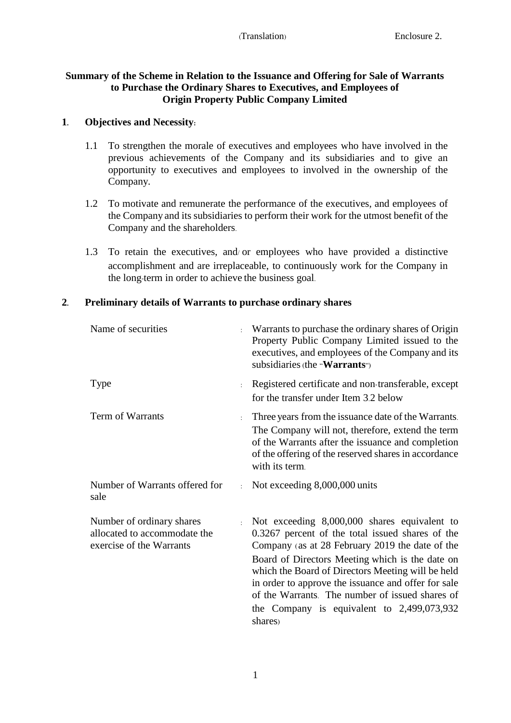## **Summary of the Scheme in Relation to the Issuance and Offering for Sale of Warrants to Purchase the Ordinary Shares to Executives, and Employees of Origin Property Public Company Limited**

#### **1. Objectives and Necessity:**

- 1.1 To strengthen the morale of executives and employees who have involved in the previous achievements of the Company and its subsidiaries and to give an opportunity to executives and employees to involved in the ownership of the Company.
- 1.2 To motivate and remunerate the performance of the executives, and employees of the Company and its subsidiaries to perform their work for the utmost benefit of the Company and the shareholders.
- 1.3 To retain the executives, and/ or employees who have provided a distinctive accomplishment and are irreplaceable, to continuously work for the Company in the long-term in order to achieve the business goal.

## **2. Preliminary details of Warrants to purchase ordinary shares**

| Name of securities                                                                                  |            | Warrants to purchase the ordinary shares of Origin<br>Property Public Company Limited issued to the<br>executives, and employees of the Company and its<br>subsidiaries (the "Warrants")                                                                                                                                                                                                                                         |
|-----------------------------------------------------------------------------------------------------|------------|----------------------------------------------------------------------------------------------------------------------------------------------------------------------------------------------------------------------------------------------------------------------------------------------------------------------------------------------------------------------------------------------------------------------------------|
| <b>Type</b>                                                                                         |            | Registered certificate and non-transferable, except<br>for the transfer under Item 3.2 below                                                                                                                                                                                                                                                                                                                                     |
| Term of Warrants                                                                                    |            | Three years from the issuance date of the Warrants.<br>The Company will not, therefore, extend the term<br>of the Warrants after the issuance and completion<br>of the offering of the reserved shares in accordance<br>with its term.                                                                                                                                                                                           |
| Number of Warrants offered for<br>sale                                                              | $\epsilon$ | Not exceeding 8,000,000 units                                                                                                                                                                                                                                                                                                                                                                                                    |
| Number of ordinary shares<br>$\epsilon$<br>allocated to accommodate the<br>exercise of the Warrants |            | Not exceeding 8,000,000 shares equivalent to<br>0.3267 percent of the total issued shares of the<br>Company (as at 28 February 2019 the date of the<br>Board of Directors Meeting which is the date on<br>which the Board of Directors Meeting will be held<br>in order to approve the issuance and offer for sale<br>of the Warrants. The number of issued shares of<br>the Company is equivalent to $2,499,073,932$<br>shares) |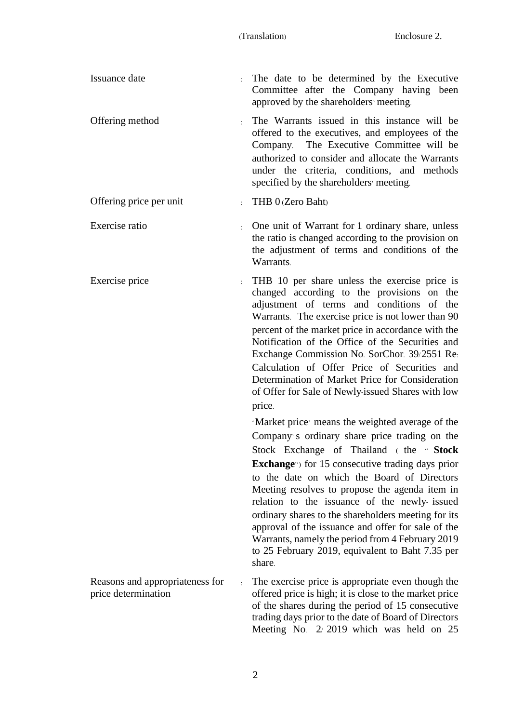| Issuance date                                               | The date to be determined by the Executive<br>Committee after the Company having been<br>approved by the shareholders' meeting.                                                                                                                                                                                                                                                                                                                                                                                                                                               |
|-------------------------------------------------------------|-------------------------------------------------------------------------------------------------------------------------------------------------------------------------------------------------------------------------------------------------------------------------------------------------------------------------------------------------------------------------------------------------------------------------------------------------------------------------------------------------------------------------------------------------------------------------------|
| Offering method                                             | The Warrants issued in this instance will be<br>offered to the executives, and employees of the<br>Company. The Executive Committee will be<br>authorized to consider and allocate the Warrants<br>under the criteria, conditions, and methods<br>specified by the shareholders meeting.                                                                                                                                                                                                                                                                                      |
| Offering price per unit                                     | THB 0 (Zero Baht)                                                                                                                                                                                                                                                                                                                                                                                                                                                                                                                                                             |
| Exercise ratio                                              | One unit of Warrant for 1 ordinary share, unless<br>the ratio is changed according to the provision on<br>the adjustment of terms and conditions of the<br>Warrants.                                                                                                                                                                                                                                                                                                                                                                                                          |
| Exercise price                                              | THB 10 per share unless the exercise price is<br>changed according to the provisions on the<br>adjustment of terms and conditions of the<br>Warrants. The exercise price is not lower than 90<br>percent of the market price in accordance with the<br>Notification of the Office of the Securities and<br>Exchange Commission No. SorChor. 39/2551 Re.<br>Calculation of Offer Price of Securities and<br>Determination of Market Price for Consideration<br>of Offer for Sale of Newly-issued Shares with low<br>price.<br>'Market price' means the weighted average of the |
|                                                             | Company's ordinary share price trading on the<br>Stock Exchange of Thailand (the "Stock<br><b>Exchange</b> " for 15 consecutive trading days prior<br>to the date on which the Board of Directors<br>Meeting resolves to propose the agenda item in<br>relation to the issuance of the newly- issued<br>ordinary shares to the shareholders meeting for its<br>approval of the issuance and offer for sale of the<br>Warrants, namely the period from 4 February 2019<br>to 25 February 2019, equivalent to Baht 7.35 per<br>share.                                           |
| Reasons and appropriateness for<br>÷<br>price determination | The exercise price is appropriate even though the<br>offered price is high; it is close to the market price<br>of the shares during the period of 15 consecutive<br>trading days prior to the date of Board of Directors<br>Meeting No. 2/2019 which was held on 25                                                                                                                                                                                                                                                                                                           |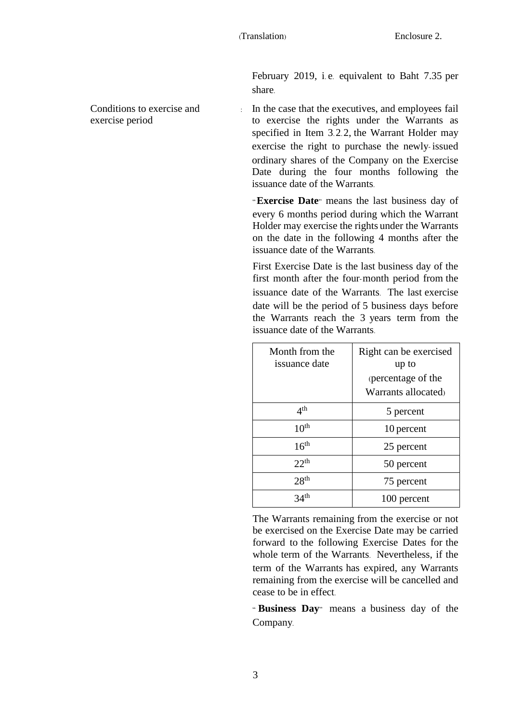February 2019, i. e. equivalent to Baht 7.35 per share.

Conditions to exercise and exercise period

: In the case that the executives, and employees fail to exercise the rights under the Warrants as specified in Item 3.2.2, the Warrant Holder may exercise the right to purchase the newly- issued ordinary shares of the Company on the Exercise Date during the four months following the issuance date of the Warrants.

"**Exercise Date**" means the last business day of every 6 months period during which the Warrant Holder may exercise the rights under the Warrants on the date in the following 4 months after the issuance date of the Warrants.

First Exercise Date is the last business day of the first month after the four-month period from the issuance date of the Warrants. The last exercise date will be the period of 5 business days before the Warrants reach the 3 years term from the issuance date of the Warrants.

| Month from the<br>issuance date | Right can be exercised<br>up to           |
|---------------------------------|-------------------------------------------|
|                                 | (percentage of the<br>Warrants allocated) |
| 4 <sup>th</sup>                 | 5 percent                                 |
| 10 <sup>th</sup>                | 10 percent                                |
| 16 <sup>th</sup>                | 25 percent                                |
| $22^{th}$                       | 50 percent                                |
| 28 <sup>th</sup>                | 75 percent                                |
| 34 <sup>th</sup>                | 100 percent                               |

The Warrants remaining from the exercise or not be exercised on the Exercise Date may be carried forward to the following Exercise Dates for the whole term of the Warrants. Nevertheless, if the term of the Warrants has expired, any Warrants remaining from the exercise will be cancelled and cease to be in effect.

" **Business Day**" means a business day of the Company.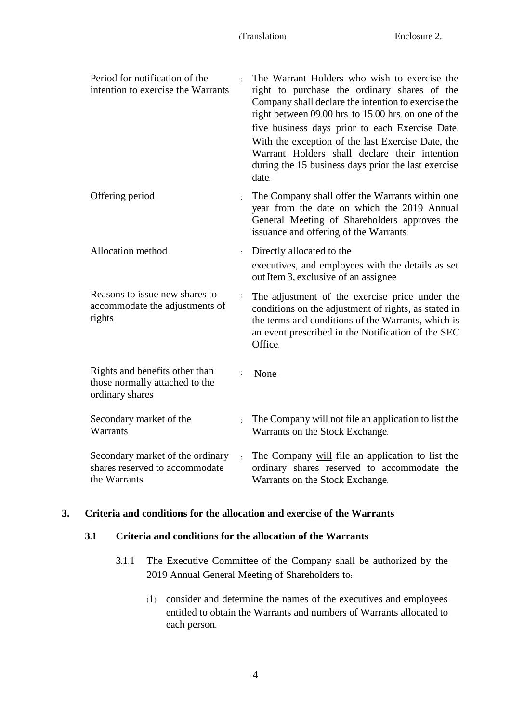| Period for notification of the<br>intention to exercise the Warrants                |                | The Warrant Holders who wish to exercise the<br>right to purchase the ordinary shares of the<br>Company shall declare the intention to exercise the<br>right between 09.00 hrs. to 15.00 hrs. on one of the<br>five business days prior to each Exercise Date.<br>With the exception of the last Exercise Date, the<br>Warrant Holders shall declare their intention<br>during the 15 business days prior the last exercise<br>date. |
|-------------------------------------------------------------------------------------|----------------|--------------------------------------------------------------------------------------------------------------------------------------------------------------------------------------------------------------------------------------------------------------------------------------------------------------------------------------------------------------------------------------------------------------------------------------|
| Offering period                                                                     | $\ddot{\cdot}$ | The Company shall offer the Warrants within one<br>year from the date on which the 2019 Annual<br>General Meeting of Shareholders approves the<br>issuance and offering of the Warrants.                                                                                                                                                                                                                                             |
| Allocation method                                                                   |                | Directly allocated to the<br>executives, and employees with the details as set<br>out Item 3, exclusive of an assignee                                                                                                                                                                                                                                                                                                               |
| Reasons to issue new shares to<br>accommodate the adjustments of<br>rights          |                | The adjustment of the exercise price under the<br>conditions on the adjustment of rights, as stated in<br>the terms and conditions of the Warrants, which is<br>an event prescribed in the Notification of the SEC<br>Office.                                                                                                                                                                                                        |
| Rights and benefits other than<br>those normally attached to the<br>ordinary shares | $\ddot{\cdot}$ | -None-                                                                                                                                                                                                                                                                                                                                                                                                                               |
| Secondary market of the<br>Warrants                                                 | $\mathbf{r}$   | The Company will not file an application to list the<br>Warrants on the Stock Exchange.                                                                                                                                                                                                                                                                                                                                              |
| Secondary market of the ordinary<br>shares reserved to accommodate<br>the Warrants  | $\mathbf{r}$   | The Company will file an application to list the<br>ordinary shares reserved to accommodate the<br>Warrants on the Stock Exchange.                                                                                                                                                                                                                                                                                                   |

#### **3. Criteria and conditions for the allocation and exercise of the Warrants**

#### **3.1 Criteria and conditions for the allocation of the Warrants**

- 3.1.1 The Executive Committee of the Company shall be authorized by the 2019 Annual General Meeting of Shareholders to:
	- (1) consider and determine the names of the executives and employees entitled to obtain the Warrants and numbers of Warrants allocated to each person.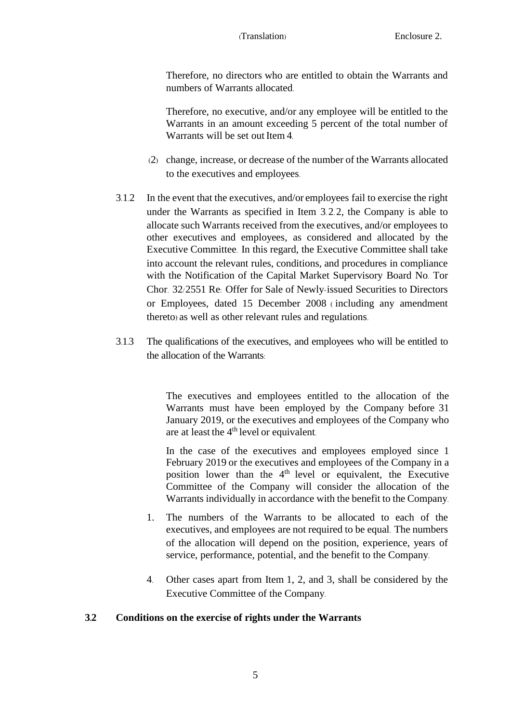Therefore, no directors who are entitled to obtain the Warrants and numbers of Warrants allocated.

Therefore, no executive, and/or any employee will be entitled to the Warrants in an amount exceeding 5 percent of the total number of Warrants will be set out Item 4.

- (2) change, increase, or decrease of the number of the Warrants allocated to the executives and employees.
- 3.1.2 In the event that the executives, and/or employees fail to exercise the right under the Warrants as specified in Item 3.2.2, the Company is able to allocate such Warrants received from the executives, and/or employees to other executives and employees, as considered and allocated by the Executive Committee. In this regard, the Executive Committee shall take into account the relevant rules, conditions, and procedures in compliance with the Notification of the Capital Market Supervisory Board No. Tor Chor. 32/2551 Re: Offer for Sale of Newly-issued Securities to Directors or Employees, dated 15 December 2008 ( including any amendment thereto) as well as other relevant rules and regulations.
- 3.1.3 The qualifications of the executives, and employees who will be entitled to the allocation of the Warrants:

The executives and employees entitled to the allocation of the Warrants must have been employed by the Company before 31 January 2019, or the executives and employees of the Company who are at least the 4<sup>th</sup> level or equivalent.

In the case of the executives and employees employed since 1 February 2019 or the executives and employees of the Company in a position lower than the 4<sup>th</sup> level or equivalent, the Executive Committee of the Company will consider the allocation of the Warrants individually in accordance with the benefit to the Company.

- 1. The numbers of the Warrants to be allocated to each of the executives, and employees are not required to be equal. The numbers of the allocation will depend on the position, experience, years of service, performance, potential, and the benefit to the Company.
- 4. Other cases apart from Item 1, 2, and 3, shall be considered by the Executive Committee of the Company.

# **3.2 Conditions on the exercise of rights under the Warrants**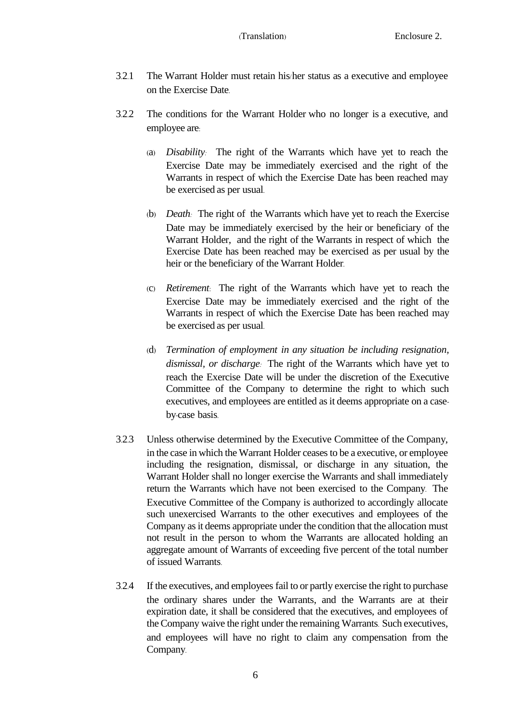- 3.2.1 The Warrant Holder must retain his/her status as a executive and employee on the Exercise Date.
- 3.2.2 The conditions for the Warrant Holder who no longer is a executive, and employee are:
	- (a) *Disability:* The right of the Warrants which have yet to reach the Exercise Date may be immediately exercised and the right of the Warrants in respect of which the Exercise Date has been reached may be exercised as per usual.
	- (b) *Death:* The right of the Warrants which have yet to reach the Exercise Date may be immediately exercised by the heir or beneficiary of the Warrant Holder, and the right of the Warrants in respect of which the Exercise Date has been reached may be exercised as per usual by the heir or the beneficiary of the Warrant Holder.
	- (c) *Retirement*: The right of the Warrants which have yet to reach the Exercise Date may be immediately exercised and the right of the Warrants in respect of which the Exercise Date has been reached may be exercised as per usual.
	- (d) *Termination of employment in any situation be including resignation, dismissal, or discharge:* The right of the Warrants which have yet to reach the Exercise Date will be under the discretion of the Executive Committee of the Company to determine the right to which such executives, and employees are entitled as it deems appropriate on a caseby-case basis.
- 3.2.3 Unless otherwise determined by the Executive Committee of the Company, in the case in which the Warrant Holder ceases to be a executive, or employee including the resignation, dismissal, or discharge in any situation, the Warrant Holder shall no longer exercise the Warrants and shall immediately return the Warrants which have not been exercised to the Company. The Executive Committee of the Company is authorized to accordingly allocate such unexercised Warrants to the other executives and employees of the Company as it deems appropriate under the condition that the allocation must not result in the person to whom the Warrants are allocated holding an aggregate amount of Warrants of exceeding five percent of the total number of issued Warrants.
- 3.2.4 If the executives, and employees fail to or partly exercise the right to purchase the ordinary shares under the Warrants, and the Warrants are at their expiration date, it shall be considered that the executives, and employees of the Company waive the right under the remaining Warrants. Such executives, and employees will have no right to claim any compensation from the Company.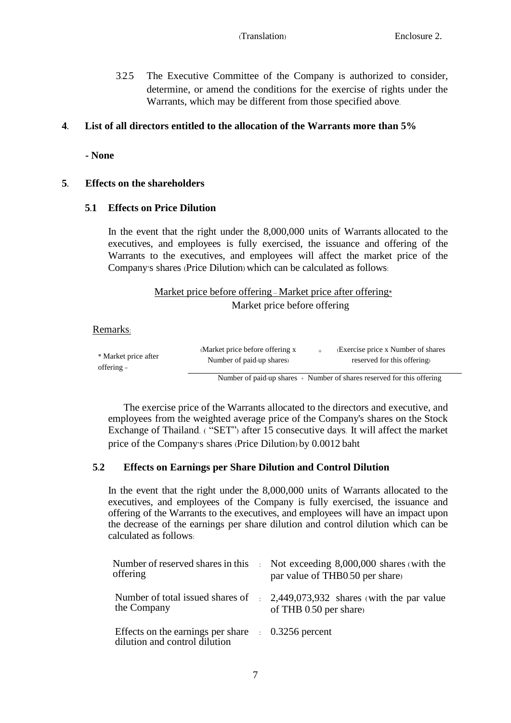3.2.5 The Executive Committee of the Company is authorized to consider, determine, or amend the conditions for the exercise of rights under the Warrants, which may be different from those specified above.

## **4. List of all directors entitled to the allocation of the Warrants more than 5%**

**- None**

## **5. Effects on the shareholders**

#### **5.1 Effects on Price Dilution**

In the event that the right under the 8,000,000 units of Warrants allocated to the executives, and employees is fully exercised, the issuance and offering of the Warrants to the executives, and employees will affect the market price of the Company's shares (Price Dilution) which can be calculated as follows:

## Market price before offering – Market price after offering\* Market price before offering

Remarks:

| * Market price after | (Market price before offering x) | (Exercise price x Number of shares)                                      |
|----------------------|----------------------------------|--------------------------------------------------------------------------|
| $offering =$         | Number of paid-up shares)        | reserved for this offering.                                              |
|                      |                                  | Number of paid-up shares $+$ Number of shares reserved for this offering |

The exercise price of the Warrants allocated to the directors and executive, and employees from the weighted average price of the Company's shares on the Stock Exchange of Thailand. ( "SET") after 15 consecutive days. It will affect the market price of the Company's shares (Price Dilution) by 0.0012 baht

## **5.2 Effects on Earnings per Share Dilution and Control Dilution**

In the event that the right under the 8,000,000 units of Warrants allocated to the executives, and employees of the Company is fully exercised, the issuance and offering of the Warrants to the executives, and employees will have an impact upon the decrease of the earnings per share dilution and control dilution which can be calculated as follows:

| offering                                                                                       | Number of reserved shares in this : Not exceeding 8,000,000 shares (with the<br>par value of THB0.50 per share) |
|------------------------------------------------------------------------------------------------|-----------------------------------------------------------------------------------------------------------------|
| the Company                                                                                    | Number of total issued shares of : 2,449,073,932 shares (with the par value<br>of THB 0.50 per share)           |
| Effects on the earnings per share $\therefore$ 0.3256 percent<br>dilution and control dilution |                                                                                                                 |